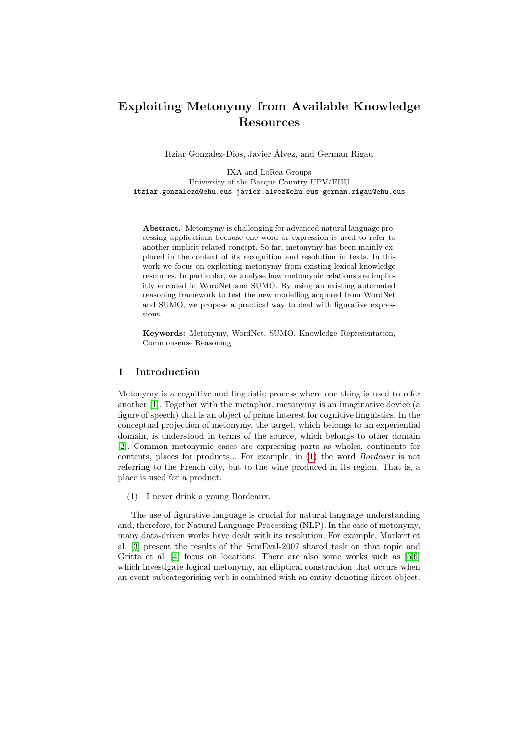# Exploiting Metonymy from Available Knowledge Resources

Itziar Gonzalez-Dios, Javier Alvez, and German Rigau ´

IXA and LoRea Groups University of the Basque Country UPV/EHU itziar.gonzalezd@ehu.eus javier.alvez@ehu.eus german.rigau@ehu.eus

Abstract. Metomymy is challenging for advanced natural language processing applications because one word or expression is used to refer to another implicit related concept. So far, metonymy has been mainly explored in the context of its recognition and resolution in texts. In this work we focus on exploiting metonymy from existing lexical knowledge resources. In particular, we analyse how metomynic relations are implicitly encoded in WordNet and SUMO. By using an existing automated reasoning framework to test the new modelling acquired from WordNet and SUMO, we propose a practical way to deal with figurative expressions.

Keywords: Metonymy, WordNet, SUMO, Knowledge Representation, Commonsense Reasoning

## 1 Introduction

Metonymy is a cognitive and linguistic process where one thing is used to refer another [\[1\]](#page-9-0). Together with the metaphor, metonymy is an imaginative device (a figure of speech) that is an object of prime interest for cognitive linguistics. In the conceptual projection of metonymy, the target, which belongs to an experiential domain, is understood in terms of the source, which belongs to other domain [\[2\]](#page-9-1). Common metonymic cases are expressing parts as wholes, continents for contents, places for products... For example, in [\(1\)](#page-0-0) the word Bordeaux is not referring to the French city, but to the wine produced in its region. That is, a place is used for a product.

<span id="page-0-0"></span>(1) I never drink a young Bordeaux.

The use of figurative language is crucial for natural language understanding and, therefore, for Natural Language Processing (NLP). In the case of metonymy, many data-driven works have dealt with its resolution. For example, Markert et al. [\[3\]](#page-9-2) present the results of the SemEval-2007 shared task on that topic and Gritta et al. [\[4\]](#page-9-3) focus on locations. There are also some works such as [\[5,](#page-9-4)[6\]](#page-9-5) which investigate logical metonymy, an elliptical construction that occurs when an event-subcategorising verb is combined with an entity-denoting direct object.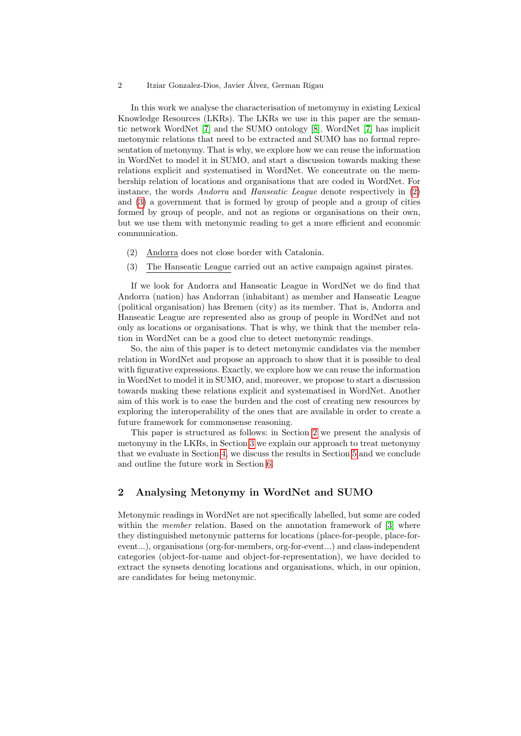#### 2 Itziar Gonzalez-Dios, Javier Alvez, German Rigau ´

In this work we analyse the characterisation of metomymy in existing Lexical Knowledge Resources (LKRs). The LKRs we use in this paper are the semantic network WordNet [\[7\]](#page-9-6) and the SUMO ontology [\[8\]](#page-9-7). WordNet [\[7\]](#page-9-6) has implicit metonymic relations that need to be extracted and SUMO has no formal representation of metonymy. That is why, we explore how we can reuse the information in WordNet to model it in SUMO, and start a discussion towards making these relations explicit and systematised in WordNet. We concentrate on the membership relation of locations and organisations that are coded in WordNet. For instance, the words Andorra and Hanseatic League denote respectively in [\(2\)](#page-1-0) and [\(3\)](#page-1-1) a government that is formed by group of people and a group of cities formed by group of people, and not as regions or organisations on their own, but we use them with metonymic reading to get a more efficient and economic communication.

- <span id="page-1-0"></span>(2) Andorra does not close border with Catalonia.
- <span id="page-1-1"></span>(3) The Hanseatic League carried out an active campaign against pirates.

If we look for Andorra and Hanseatic League in WordNet we do find that Andorra (nation) has Andorran (inhabitant) as member and Hanseatic League (political organisation) has Bremen (city) as its member. That is, Andorra and Hanseatic League are represented also as group of people in WordNet and not only as locations or organisations. That is why, we think that the member relation in WordNet can be a good clue to detect metonymic readings.

So, the aim of this paper is to detect metonymic candidates via the member relation in WordNet and propose an approach to show that it is possible to deal with figurative expressions. Exactly, we explore how we can reuse the information in WordNet to model it in SUMO, and, moreover, we propose to start a discussion towards making these relations explicit and systematised in WordNet. Another aim of this work is to ease the burden and the cost of creating new resources by exploring the interoperability of the ones that are available in order to create a future framework for commonsense reasoning.

This paper is structured as follows: in Section [2](#page-1-2) we present the analysis of metonymy in the LKRs, in Section [3](#page-3-0) we explain our approach to treat metonymy that we evaluate in Section [4,](#page-5-0) we discuss the results in Section [5](#page-7-0) and we conclude and outline the future work in Section [6.](#page-8-0)

# <span id="page-1-2"></span>2 Analysing Metonymy in WordNet and SUMO

Metonymic readings in WordNet are not specifically labelled, but some are coded within the *member* relation. Based on the annotation framework of [\[3\]](#page-9-2) where they distinguished metonymic patterns for locations (place-for-people, place-forevent...), organisations (org-for-members, org-for-event...) and class-independent categories (object-for-name and object-for-representation), we have decided to extract the synsets denoting locations and organisations, which, in our opinion, are candidates for being metonymic.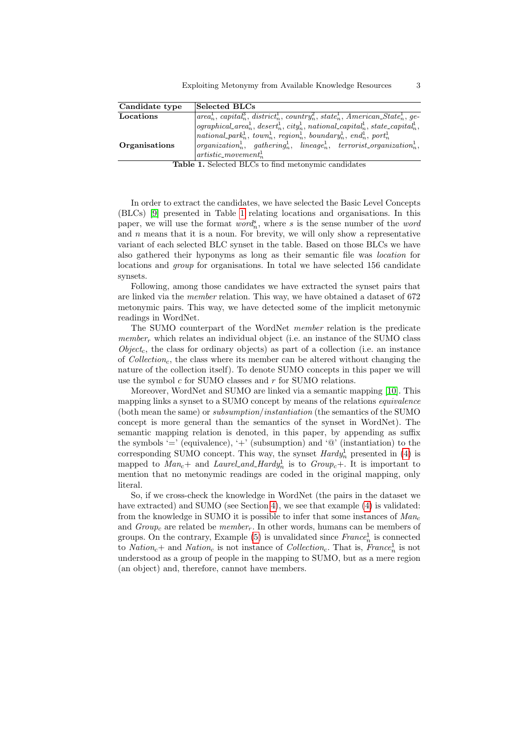Exploiting Metonymy from Available Knowledge Resources 3

| Candidate type | Selected BLCs                                                                                                                                                                                                                                             |  |  |  |  |  |
|----------------|-----------------------------------------------------------------------------------------------------------------------------------------------------------------------------------------------------------------------------------------------------------|--|--|--|--|--|
| Locations      | $area_n^1$ , capital <sub>n</sub> <sup>3</sup> , district <sub>n</sub> <sup>1</sup> , country <sub>n</sub> <sup>2</sup> , state <sub>n</sub> <sup>1</sup> , American_State <sub>n</sub> <sup>1</sup> , ge-                                                |  |  |  |  |  |
|                | $lographical\_area_n^1$ , $desert_n^1$ , $city_n^1$ , national_capital <sub>n</sub> , state_capital <sub>n</sub> ,<br>national_park <sub>n</sub> , town <sub>n</sub> , region <sub>n</sub> , boundary <sub>n</sub> , end <sub>n</sub> , port <sub>n</sub> |  |  |  |  |  |
| Organisations  | organization <sub>n</sub> , gathering <sub>n</sub> , lineage <sub>n</sub> , terrorist_organization <sub>n</sub> ,<br>$artistic\_movement_n^1$                                                                                                             |  |  |  |  |  |
| -- - -         | $\sim$ $\sim$ $\sim$ $\sim$ $\sim$                                                                                                                                                                                                                        |  |  |  |  |  |

<span id="page-2-0"></span>Table 1. Selected BLCs to find metonymic candidates

In order to extract the candidates, we have selected the Basic Level Concepts (BLCs) [\[9\]](#page-9-8) presented in Table [1](#page-2-0) relating locations and organisations. In this paper, we will use the format  $word_n^s$ , where s is the sense number of the *word* and  $n$  means that it is a noun. For brevity, we will only show a representative variant of each selected BLC synset in the table. Based on those BLCs we have also gathered their hyponyms as long as their semantic file was location for locations and *group* for organisations. In total we have selected 156 candidate synsets.

Following, among those candidates we have extracted the synset pairs that are linked via the member relation. This way, we have obtained a dataset of 672 metonymic pairs. This way, we have detected some of the implicit metonymic readings in WordNet.

The SUMO counterpart of the WordNet member relation is the predicate  $member_r$  which relates an individual object (i.e. an instance of the SUMO class  $Object_c$ , the class for ordinary objects) as part of a collection (i.e. an instance of Collection<sub>c</sub>, the class where its member can be altered without changing the nature of the collection itself). To denote SUMO concepts in this paper we will use the symbol  $c$  for SUMO classes and  $r$  for SUMO relations.

Moreover, WordNet and SUMO are linked via a semantic mapping [\[10\]](#page-9-9). This mapping links a synset to a SUMO concept by means of the relations *equivalence* (both mean the same) or subsumption/instantiation (the semantics of the SUMO concept is more general than the semantics of the synset in WordNet). The semantic mapping relation is denoted, in this paper, by appending as suffix the symbols  $\dot{ } = '$  (equivalence),  $\dot{ } +'$  (subsumption) and  $\dot{ }$ <sup>'</sup> (instantiation) to the corresponding SUMO concept. This way, the synset  $Hardy_n^1$  presented in [\(4\)](#page-2-1) is mapped to  $Man_c+$  and  $LaureL and_Hardy_n^1$  is to  $Group_c+.$  It is important to mention that no metonymic readings are coded in the original mapping, only literal.

<span id="page-2-1"></span>So, if we cross-check the knowledge in WordNet (the pairs in the dataset we have extracted) and SUMO (see Section [4\)](#page-5-0), we see that example [\(4\)](#page-2-1) is validated: from the knowledge in SUMO it is possible to infer that some instances of  $Man_c$ and  $Group_c$  are related be member<sub>r</sub>. In other words, humans can be members of groups. On the contrary, Example  $(5)$  is unvalidated since  $France_n^1$  is connected to  $National<sub>c</sub>$  + and  $National<sub>c</sub>$  is not instance of Collection<sub>c</sub>. That is, France<sub>n</sub><sup>1</sup> is not understood as a group of people in the mapping to SUMO, but as a mere region (an object) and, therefore, cannot have members.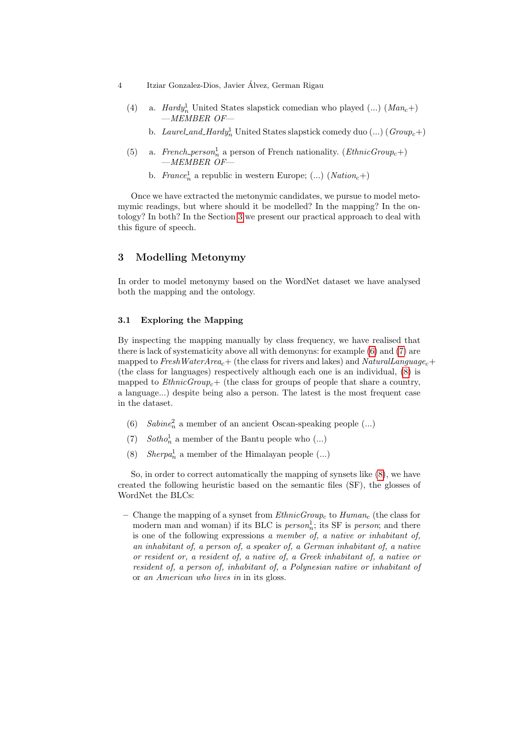- 4 Itziar Gonzalez-Dios, Javier Alvez, German Rigau ´
	- (4) a.  $Hardy_n^1$  United States slapstick comedian who played (...)  $(Man_c+)$ —MEMBER OF
		- b. *Laurel\_and\_Hardy*<sub>*n*</sub><sup>1</sup> United States slapstick comedy duo  $(...)$  ( $Group_c+)$ )
	- (5) a. French person<sup>1</sup><sub>n</sub> a person of French nationality. (EthnicGroup<sub>c</sub>+) —MEMBER OF
		- b. *France*<sup>1</sup><sub>*a*</sub> a republic in western Europe; (...)  $(Nation<sub>c</sub>+)$

<span id="page-3-1"></span>Once we have extracted the metonymic candidates, we pursue to model metomymic readings, but where should it be modelled? In the mapping? In the ontology? In both? In the Section [3](#page-3-0) we present our practical approach to deal with this figure of speech.

# <span id="page-3-0"></span>3 Modelling Metonymy

In order to model metonymy based on the WordNet dataset we have analysed both the mapping and the ontology.

## 3.1 Exploring the Mapping

By inspecting the mapping manually by class frequency, we have realised that there is lack of systematicity above all with demonyns: for example [\(6\)](#page-3-2) and [\(7\)](#page-3-3) are mapped to  $FreshWaterArea_c+$  (the class for rivers and lakes) and NaturalLanguage<sub>c</sub>+ (the class for languages) respectively although each one is an individual, [\(8\)](#page-3-4) is mapped to  $EthnicGroup_c+$  (the class for groups of people that share a country, a language...) despite being also a person. The latest is the most frequent case in the dataset.

- <span id="page-3-2"></span>(6)  $Sabine_n^2$  a member of an ancient Oscan-speaking people  $(...)$
- <span id="page-3-3"></span>(7)  $Sotho_n^1$  a member of the Bantu people who  $(...)$
- <span id="page-3-4"></span>(8) Sherpa<sub>n</sub> a member of the Himalayan people  $(\ldots)$

So, in order to correct automatically the mapping of synsets like [\(8\)](#page-3-4), we have created the following heuristic based on the semantic files (SF), the glosses of WordNet the BLCs:

– Change the mapping of a synset from  $EthnicGroup_c$  to  $Human_c$  (the class for modern man and woman) if its BLC is  $person<sub>n</sub><sup>1</sup>$ ; its SF is person; and there is one of the following expressions a member of, a native or inhabitant of, an inhabitant of, a person of, a speaker of, a German inhabitant of, a native or resident or, a resident of, a native of, a Greek inhabitant of, a native or resident of, a person of, inhabitant of, a Polynesian native or inhabitant of or an American who lives in in its gloss.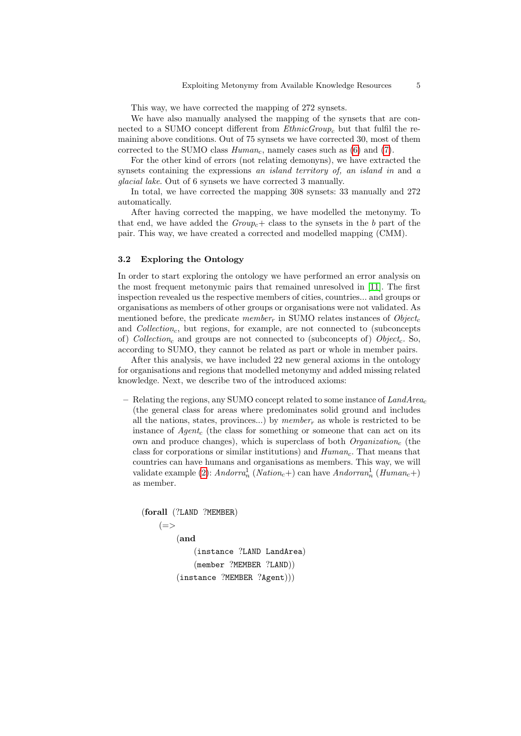This way, we have corrected the mapping of 272 synsets.

We have also manually analysed the mapping of the synsets that are connected to a SUMO concept different from  $EthnicGroup_c$  but that fulfil the remaining above conditions. Out of 75 synsets we have corrected 30, most of them corrected to the SUMO class  $Human_c$ , namely cases such as [\(6\)](#page-3-2) and [\(7\)](#page-3-3).

For the other kind of errors (not relating demonyns), we have extracted the synsets containing the expressions an *island territory of, an island in* and a glacial lake. Out of 6 synsets we have corrected 3 manually.

In total, we have corrected the mapping 308 synsets: 33 manually and 272 automatically.

After having corrected the mapping, we have modelled the metonymy. To that end, we have added the  $Group_c+$  class to the synsets in the b part of the pair. This way, we have created a corrected and modelled mapping (CMM).

#### 3.2 Exploring the Ontology

In order to start exploring the ontology we have performed an error analysis on the most frequent metonymic pairs that remained unresolved in [\[11\]](#page-9-10). The first inspection revealed us the respective members of cities, countries... and groups or organisations as members of other groups or organisations were not validated. As mentioned before, the predicate member<sub>r</sub> in SUMO relates instances of  $Object_c$ and  $Collection_{c}$ , but regions, for example, are not connected to (subconcepts of) Collection<sub>c</sub> and groups are not connected to (subconcepts of) Object<sub>c</sub>. So, according to SUMO, they cannot be related as part or whole in member pairs.

After this analysis, we have included 22 new general axioms in the ontology for organisations and regions that modelled metonymy and added missing related knowledge. Next, we describe two of the introduced axioms:

– Relating the regions, any SUMO concept related to some instance of  $LandArea_c$ (the general class for areas where predominates solid ground and includes all the nations, states, provinces...) by  $member_r$  as whole is restricted to be instance of  $Agent_c$  (the class for something or someone that can act on its own and produce changes), which is superclass of both  $Organization_c$  (the class for corporations or similar institutions) and  $Human_c$ . That means that countries can have humans and organisations as members. This way, we will validate example [\(2\)](#page-1-0):  $\text{Andorra}_n^1 \ ( \text{National}_c + )$  can have  $\text{Andorra}_n^1 \ ( \text{Human}_c + )$ as member.

```
(forall (?LAND ?MEMBER)
(=>(and
         (instance ?LAND LandArea)
         (member ?MEMBER ?LAND))
     (instance ?MEMBER ?Agent)))
```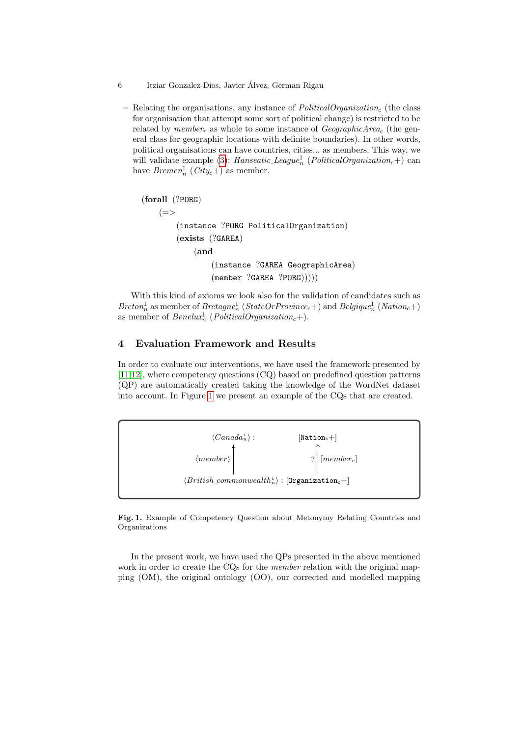- 6 Itziar Gonzalez-Dios, Javier Alvez, German Rigau ´
	- Relating the organisations, any instance of *PoliticalOrganization<sub>c</sub>* (the class for organisation that attempt some sort of political change) is restricted to be related by member<sub>r</sub> as whole to some instance of  $GeographicArea_c$  (the general class for geographic locations with definite boundaries). In other words, political organisations can have countries, cities... as members. This way, we will validate example [\(3\)](#page-1-1):  $Hanseatic\_ League_n^1$  (*PoliticalOrganization<sub>c</sub>*+) can have  $Bremen_n^1(City_c+)$  as member.

```
(forall (?PORG)
(=>(instance ?PORG PoliticalOrganization)
     (exists (?GAREA)
         (and
             (instance ?GAREA GeographicArea)
             (member ?GAREA ?PORG))))
```
With this kind of axioms we look also for the validation of candidates such as  $Breton_n^1$  as member of  $Bretagne_n^1$  (StateOrProvince<sub>c</sub>+) and  $Belgique_n^1$  (Nation<sub>c</sub>+) as member of  $Benelux_n^1$  (*PoliticalOrganization<sub>c</sub>*+).

# <span id="page-5-0"></span>4 Evaluation Framework and Results

In order to evaluate our interventions, we have used the framework presented by [\[11](#page-9-10)[,12\]](#page-9-11), where competency questions (CQ) based on predefined question patterns (QP) are automatically created taking the knowledge of the WordNet dataset into account. In Figure [1](#page-5-1) we present an example of the CQs that are created.



<span id="page-5-1"></span>Fig. 1. Example of Competency Question about Metonymy Relating Countries and Organizations

In the present work, we have used the QPs presented in the above mentioned work in order to create the CQs for the *member* relation with the original mapping (OM), the original ontology (OO), our corrected and modelled mapping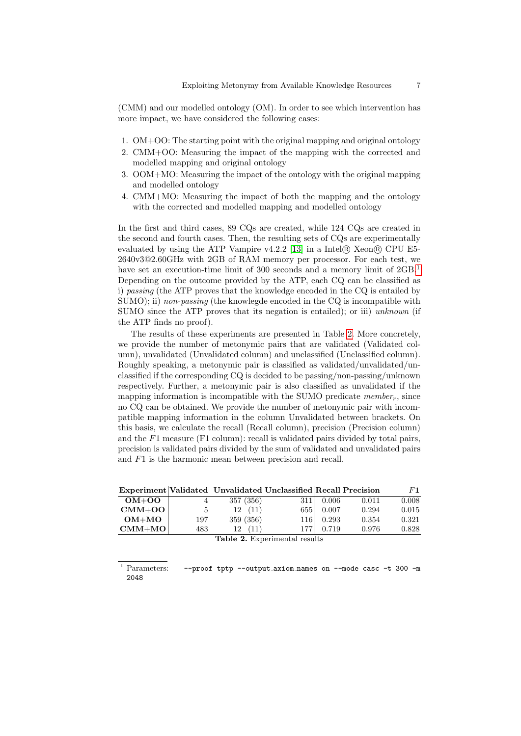(CMM) and our modelled ontology (OM). In order to see which intervention has more impact, we have considered the following cases:

- 1. OM+OO: The starting point with the original mapping and original ontology
- 2. CMM+OO: Measuring the impact of the mapping with the corrected and modelled mapping and original ontology
- 3. OOM+MO: Measuring the impact of the ontology with the original mapping and modelled ontology
- 4. CMM+MO: Measuring the impact of both the mapping and the ontology with the corrected and modelled mapping and modelled ontology

In the first and third cases, 89 CQs are created, while 124 CQs are created in the second and fourth cases. Then, the resulting sets of CQs are experimentally evaluated by using the ATP Vampire  $v4.2.2$  [\[13\]](#page-9-12) in a Intel $\circledR$  Xeon $\circledR$  CPU E5-2640v3@2.60GHz with 2GB of RAM memory per processor. For each test, we have set an execution-time limit of 300 seconds and a memory limit of  $2GB$ .<sup>[1](#page-6-0)</sup> Depending on the outcome provided by the ATP, each CQ can be classified as i) passing (the ATP proves that the knowledge encoded in the CQ is entailed by SUMO); ii) non-passing (the knowlegde encoded in the CQ is incompatible with SUMO since the ATP proves that its negation is entailed); or iii) unknown (if the ATP finds no proof).

The results of these experiments are presented in Table [2.](#page-6-1) More concretely, we provide the number of metonymic pairs that are validated (Validated column), unvalidated (Unvalidated column) and unclassified (Unclassified column). Roughly speaking, a metonymic pair is classified as validated/unvalidated/unclassified if the corresponding CQ is decided to be passing/non-passing/unknown respectively. Further, a metonymic pair is also classified as unvalidated if the mapping information is incompatible with the SUMO predicate  $member_r$ , since no CQ can be obtained. We provide the number of metonymic pair with incompatible mapping information in the column Unvalidated between brackets. On this basis, we calculate the recall (Recall column), precision (Precision column) and the  $F1$  measure (F1 column): recall is validated pairs divided by total pairs, precision is validated pairs divided by the sum of validated and unvalidated pairs and F1 is the harmonic mean between precision and recall.

|          |     | Experiment Validated Unvalidated Unclassified Recall Precision |      |       |       | F1    |
|----------|-----|----------------------------------------------------------------|------|-------|-------|-------|
| $OM+OO$  | 4   | 357 (356)                                                      | 311  | 0.006 | 0.011 | 0.008 |
| $CMM+OO$ |     | (11)<br>12                                                     | 6551 | 0.007 | 0.294 | 0.015 |
| $OM+MO$  | 197 | 359 (356)                                                      | 1161 | 0.293 | 0.354 | 0.321 |
| $CMM+MO$ | 483 |                                                                | 177  | 0.719 | 0.976 | 0.828 |

<span id="page-6-1"></span>Table 2. Experimental results

2048

<span id="page-6-0"></span><sup>1</sup> Parameters: --proof tptp --output axiom names on --mode casc -t 300 -m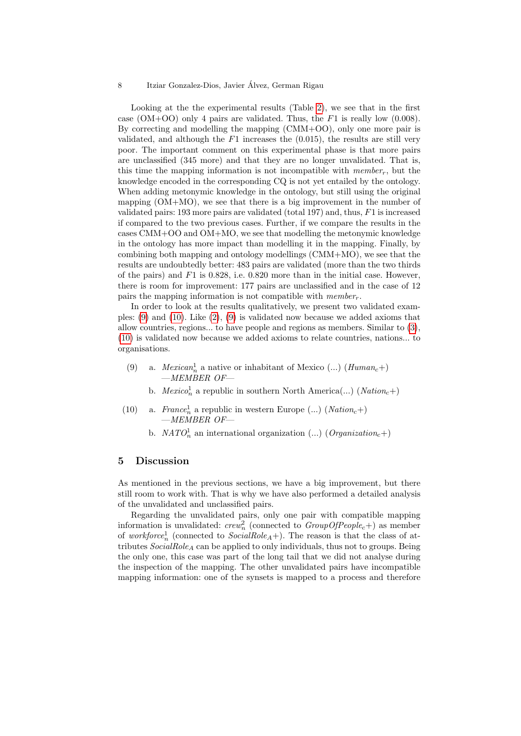#### 8 Itziar Gonzalez-Dios, Javier Alvez, German Rigau ´

Looking at the the experimental results (Table [2\)](#page-6-1), we see that in the first case  $(OM+OO)$  only 4 pairs are validated. Thus, the  $F1$  is really low  $(0.008)$ . By correcting and modelling the mapping (CMM+OO), only one more pair is validated, and although the  $F1$  increases the  $(0.015)$ , the results are still very poor. The important comment on this experimental phase is that more pairs are unclassified (345 more) and that they are no longer unvalidated. That is, this time the mapping information is not incompatible with *member<sub>r</sub>*, but the knowledge encoded in the corresponding CQ is not yet entailed by the ontology. When adding metonymic knowledge in the ontology, but still using the original mapping  $(OM+MO)$ , we see that there is a big improvement in the number of validated pairs: 193 more pairs are validated (total 197) and, thus, F1 is increased if compared to the two previous cases. Further, if we compare the results in the cases CMM+OO and OM+MO, we see that modelling the metonymic knowledge in the ontology has more impact than modelling it in the mapping. Finally, by combining both mapping and ontology modellings (CMM+MO), we see that the results are undoubtedly better: 483 pairs are validated (more than the two thirds of the pairs) and  $F1$  is 0.828, i.e. 0.820 more than in the initial case. However, there is room for improvement: 177 pairs are unclassified and in the case of 12 pairs the mapping information is not compatible with *member<sub>r</sub>*.

In order to look at the results qualitatively, we present two validated examples: [\(9\)](#page-7-1) and [\(10\)](#page-7-2). Like [\(2\)](#page-1-0), [\(9\)](#page-7-1) is validated now because we added axioms that allow countries, regions... to have people and regions as members. Similar to [\(3\)](#page-1-1), [\(10\)](#page-7-2) is validated now because we added axioms to relate countries, nations... to organisations.

- <span id="page-7-1"></span>(9) a.  $Mexican_n^1$  a native or inhabitant of Mexico (...)  $(Human_c+)$ —MEMBER OF
	- b. *Mexico*<sub>n</sub><sup>1</sup> a republic in southern North America(...) (*Nation<sub>c</sub>*+)
- <span id="page-7-2"></span>(10) a. *France*<sub>n</sub><sup>1</sup> a republic in western Europe  $(...)$   $(Nation<sub>c</sub>+)$ —MEMBER OF
	- b.  $NATO_n^1$  an international organization (...) ( $Organization_c+$ )

## <span id="page-7-0"></span>5 Discussion

As mentioned in the previous sections, we have a big improvement, but there still room to work with. That is why we have also performed a detailed analysis of the unvalidated and unclassified pairs.

Regarding the unvalidated pairs, only one pair with compatible mapping information is unvalidated:  $crev_n^2$  (connected to  $GroupOfPeople_c+)$  as member of workforce<sub>n</sub> (connected to  $SocialRole<sub>A</sub>$ +). The reason is that the class of attributes  $SocialRole_A$  can be applied to only individuals, thus not to groups. Being the only one, this case was part of the long tail that we did not analyse during the inspection of the mapping. The other unvalidated pairs have incompatible mapping information: one of the synsets is mapped to a process and therefore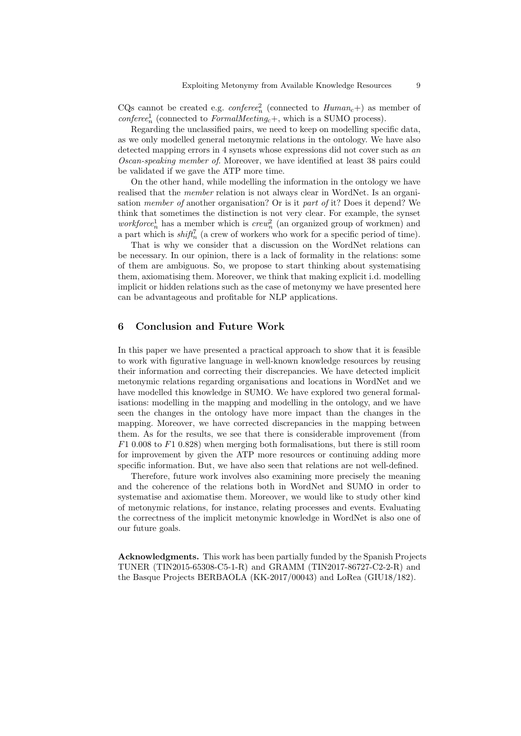CQs cannot be created e.g.  $conference_n^2$  (connected to  $Human_c$ +) as member of  $\textit{conference}_n^1$  (connected to  $\textit{Formal Meeting}_c+$ , which is a SUMO process).

Regarding the unclassified pairs, we need to keep on modelling specific data, as we only modelled general metonymic relations in the ontology. We have also detected mapping errors in 4 synsets whose expressions did not cover such as an Oscan-speaking member of. Moreover, we have identified at least 38 pairs could be validated if we gave the ATP more time.

On the other hand, while modelling the information in the ontology we have realised that the member relation is not always clear in WordNet. Is an organisation *member of* another organisation? Or is it *part of* it? Does it depend? We think that sometimes the distinction is not very clear. For example, the synset  $workforce_n^1$  has a member which is  $crev_n^2$  (an organized group of workmen) and a part which is  $\textit{shift}_n^7$  (a crew of workers who work for a specific period of time).

That is why we consider that a discussion on the WordNet relations can be necessary. In our opinion, there is a lack of formality in the relations: some of them are ambiguous. So, we propose to start thinking about systematising them, axiomatising them. Moreover, we think that making explicit i.d. modelling implicit or hidden relations such as the case of metonymy we have presented here can be advantageous and profitable for NLP applications.

# <span id="page-8-0"></span>6 Conclusion and Future Work

In this paper we have presented a practical approach to show that it is feasible to work with figurative language in well-known knowledge resources by reusing their information and correcting their discrepancies. We have detected implicit metonymic relations regarding organisations and locations in WordNet and we have modelled this knowledge in SUMO. We have explored two general formalisations: modelling in the mapping and modelling in the ontology, and we have seen the changes in the ontology have more impact than the changes in the mapping. Moreover, we have corrected discrepancies in the mapping between them. As for the results, we see that there is considerable improvement (from  $F1$  0.008 to  $F1$  0.828) when merging both formalisations, but there is still room for improvement by given the ATP more resources or continuing adding more specific information. But, we have also seen that relations are not well-defined.

Therefore, future work involves also examining more precisely the meaning and the coherence of the relations both in WordNet and SUMO in order to systematise and axiomatise them. Moreover, we would like to study other kind of metonymic relations, for instance, relating processes and events. Evaluating the correctness of the implicit metonymic knowledge in WordNet is also one of our future goals.

Acknowledgments. This work has been partially funded by the Spanish Projects TUNER (TIN2015-65308-C5-1-R) and GRAMM (TIN2017-86727-C2-2-R) and the Basque Projects BERBAOLA (KK-2017/00043) and LoRea (GIU18/182).